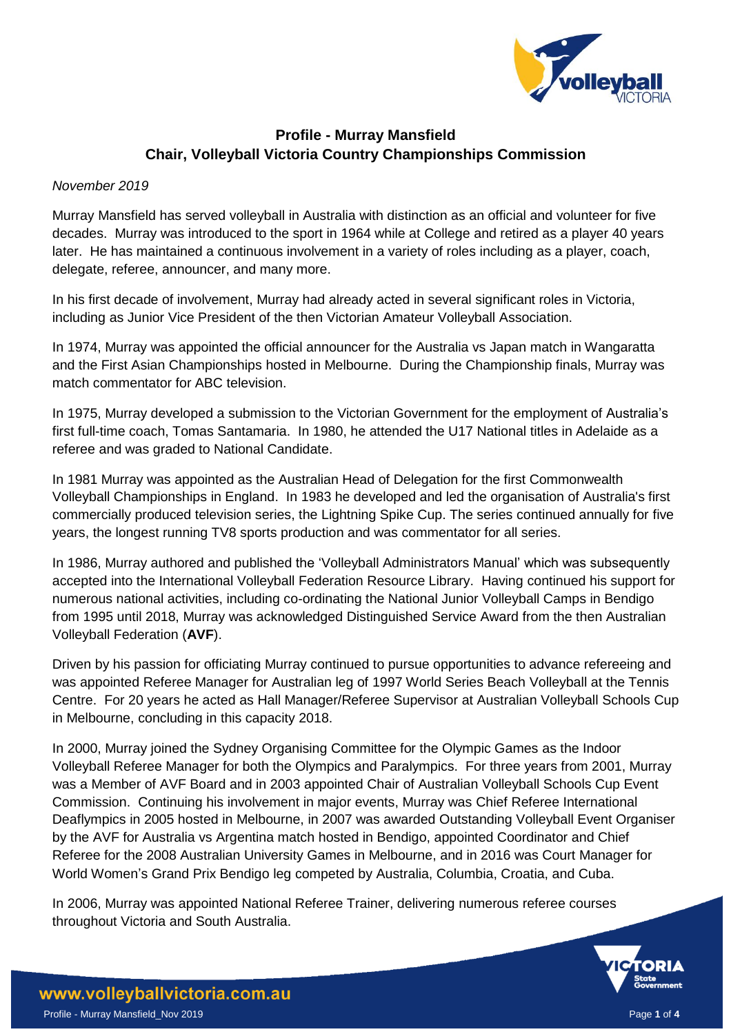

## **Profile - Murray Mansfield Chair, Volleyball Victoria Country Championships Commission**

## *November 2019*

Murray Mansfield has served volleyball in Australia with distinction as an official and volunteer for five decades. Murray was introduced to the sport in 1964 while at College and retired as a player 40 years later. He has maintained a continuous involvement in a variety of roles including as a player, coach, delegate, referee, announcer, and many more.

In his first decade of involvement, Murray had already acted in several significant roles in Victoria, including as Junior Vice President of the then Victorian Amateur Volleyball Association.

In 1974, Murray was appointed the official announcer for the Australia vs Japan match in Wangaratta and the First Asian Championships hosted in Melbourne. During the Championship finals, Murray was match commentator for ABC television.

In 1975, Murray developed a submission to the Victorian Government for the employment of Australia's first full-time coach, Tomas Santamaria. In 1980, he attended the U17 National titles in Adelaide as a referee and was graded to National Candidate.

In 1981 Murray was appointed as the Australian Head of Delegation for the first Commonwealth Volleyball Championships in England. In 1983 he developed and led the organisation of Australia's first commercially produced television series, the Lightning Spike Cup. The series continued annually for five years, the longest running TV8 sports production and was commentator for all series.

In 1986, Murray authored and published the 'Volleyball Administrators Manual' which was subsequently accepted into the International Volleyball Federation Resource Library. Having continued his support for numerous national activities, including co-ordinating the National Junior Volleyball Camps in Bendigo from 1995 until 2018, Murray was acknowledged Distinguished Service Award from the then Australian Volleyball Federation (**AVF**).

Driven by his passion for officiating Murray continued to pursue opportunities to advance refereeing and was appointed Referee Manager for Australian leg of 1997 World Series Beach Volleyball at the Tennis Centre. For 20 years he acted as Hall Manager/Referee Supervisor at Australian Volleyball Schools Cup in Melbourne, concluding in this capacity 2018.

In 2000, Murray joined the Sydney Organising Committee for the Olympic Games as the Indoor Volleyball Referee Manager for both the Olympics and Paralympics. For three years from 2001, Murray was a Member of AVF Board and in 2003 appointed Chair of Australian Volleyball Schools Cup Event Commission. Continuing his involvement in major events, Murray was Chief Referee International Deaflympics in 2005 hosted in Melbourne, in 2007 was awarded Outstanding Volleyball Event Organiser by the AVF for Australia vs Argentina match hosted in Bendigo, appointed Coordinator and Chief Referee for the 2008 Australian University Games in Melbourne, and in 2016 was Court Manager for World Women's Grand Prix Bendigo leg competed by Australia, Columbia, Croatia, and Cuba.

In 2006, Murray was appointed National Referee Trainer, delivering numerous referee courses throughout Victoria and South Australia.

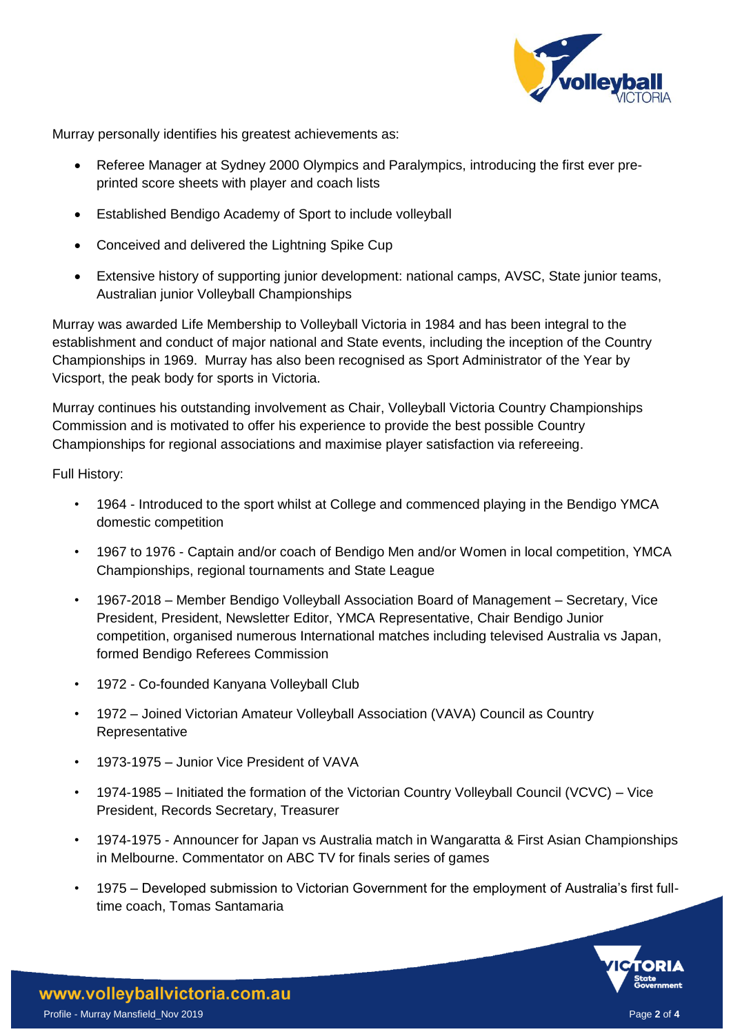

Murray personally identifies his greatest achievements as:

- Referee Manager at Sydney 2000 Olympics and Paralympics, introducing the first ever preprinted score sheets with player and coach lists
- Established Bendigo Academy of Sport to include volleyball
- Conceived and delivered the Lightning Spike Cup
- Extensive history of supporting junior development: national camps, AVSC, State junior teams, Australian junior Volleyball Championships

Murray was awarded Life Membership to Volleyball Victoria in 1984 and has been integral to the establishment and conduct of major national and State events, including the inception of the Country Championships in 1969. Murray has also been recognised as Sport Administrator of the Year by Vicsport, the peak body for sports in Victoria.

Murray continues his outstanding involvement as Chair, Volleyball Victoria Country Championships Commission and is motivated to offer his experience to provide the best possible Country Championships for regional associations and maximise player satisfaction via refereeing.

Full History:

- 1964 Introduced to the sport whilst at College and commenced playing in the Bendigo YMCA domestic competition
- 1967 to 1976 Captain and/or coach of Bendigo Men and/or Women in local competition, YMCA Championships, regional tournaments and State League
- 1967-2018 Member Bendigo Volleyball Association Board of Management Secretary, Vice President, President, Newsletter Editor, YMCA Representative, Chair Bendigo Junior competition, organised numerous International matches including televised Australia vs Japan, formed Bendigo Referees Commission
- 1972 Co-founded Kanyana Volleyball Club
- 1972 Joined Victorian Amateur Volleyball Association (VAVA) Council as Country Representative
- 1973-1975 Junior Vice President of VAVA
- 1974-1985 Initiated the formation of the Victorian Country Volleyball Council (VCVC) Vice President, Records Secretary, Treasurer
- 1974-1975 Announcer for Japan vs Australia match in Wangaratta & First Asian Championships in Melbourne. Commentator on ABC TV for finals series of games
- 1975 Developed submission to Victorian Government for the employment of Australia's first fulltime coach, Tomas Santamaria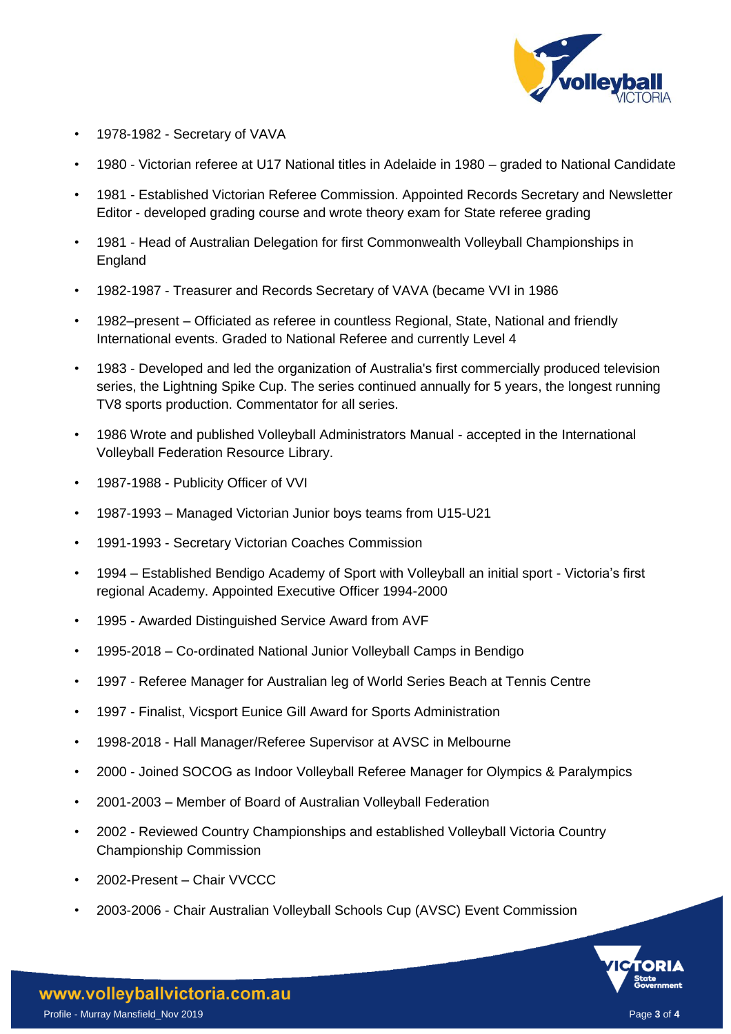

- 1978-1982 Secretary of VAVA
- 1980 Victorian referee at U17 National titles in Adelaide in 1980 graded to National Candidate
- 1981 Established Victorian Referee Commission. Appointed Records Secretary and Newsletter Editor - developed grading course and wrote theory exam for State referee grading
- 1981 Head of Australian Delegation for first Commonwealth Volleyball Championships in England
- 1982-1987 Treasurer and Records Secretary of VAVA (became VVI in 1986
- 1982–present Officiated as referee in countless Regional, State, National and friendly International events. Graded to National Referee and currently Level 4
- 1983 Developed and led the organization of Australia's first commercially produced television series, the Lightning Spike Cup. The series continued annually for 5 years, the longest running TV8 sports production. Commentator for all series.
- 1986 Wrote and published Volleyball Administrators Manual accepted in the International Volleyball Federation Resource Library.
- 1987-1988 Publicity Officer of VVI
- 1987-1993 Managed Victorian Junior boys teams from U15-U21
- 1991-1993 Secretary Victorian Coaches Commission
- 1994 Established Bendigo Academy of Sport with Volleyball an initial sport Victoria's first regional Academy. Appointed Executive Officer 1994-2000
- 1995 Awarded Distinguished Service Award from AVF
- 1995-2018 Co-ordinated National Junior Volleyball Camps in Bendigo
- 1997 Referee Manager for Australian leg of World Series Beach at Tennis Centre
- 1997 Finalist, Vicsport Eunice Gill Award for Sports Administration
- 1998-2018 Hall Manager/Referee Supervisor at AVSC in Melbourne
- 2000 Joined SOCOG as Indoor Volleyball Referee Manager for Olympics & Paralympics
- 2001-2003 Member of Board of Australian Volleyball Federation
- 2002 Reviewed Country Championships and established Volleyball Victoria Country Championship Commission
- 2002-Present Chair VVCCC
- 2003-2006 Chair Australian Volleyball Schools Cup (AVSC) Event Commission